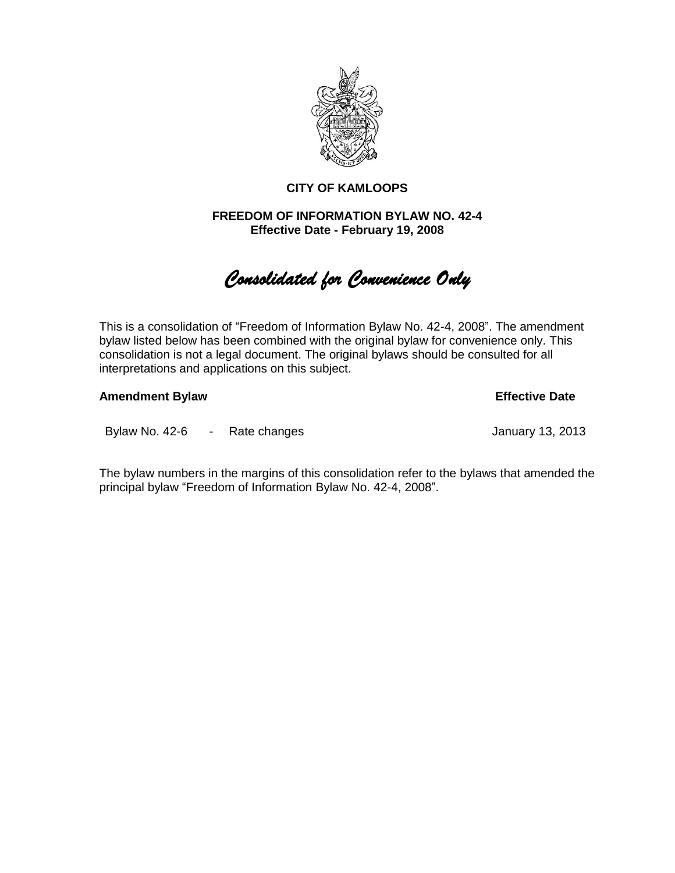

# **CITY OF KAMLOOPS**

# **FREEDOM OF INFORMATION BYLAW NO. 42-4 Effective Date - February 19, 2008**

# *Consolidated for Convenience Only*

This is a consolidation of "Freedom of Information Bylaw No. 42-4, 2008". The amendment bylaw listed below has been combined with the original bylaw for convenience only. This consolidation is not a legal document. The original bylaws should be consulted for all interpretations and applications on this subject.

**Amendment Bylaw Effective Date**

Bylaw No. 42-6 - Rate changes January 13, 2013

The bylaw numbers in the margins of this consolidation refer to the bylaws that amended the principal bylaw "Freedom of Information Bylaw No. 42-4, 2008".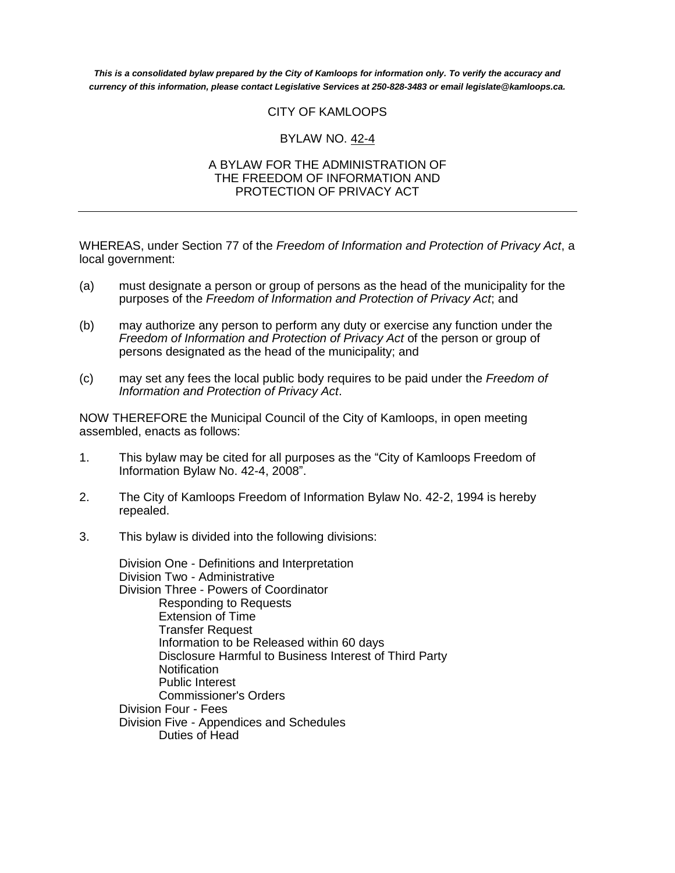*This is a consolidated bylaw prepared by the City of Kamloops for information only. To verify the accuracy and currency of this information, please contact Legislative Services at 250-828-3483 or email legislate@kamloops.ca.*

# CITY OF KAMLOOPS

# BYLAW NO. 42-4

#### A BYLAW FOR THE ADMINISTRATION OF THE FREEDOM OF INFORMATION AND PROTECTION OF PRIVACY ACT

WHEREAS, under Section 77 of the *Freedom of Information and Protection of Privacy Act*, a local government:

- (a) must designate a person or group of persons as the head of the municipality for the purposes of the *Freedom of Information and Protection of Privacy Act*; and
- (b) may authorize any person to perform any duty or exercise any function under the *Freedom of Information and Protection of Privacy Act* of the person or group of persons designated as the head of the municipality; and
- (c) may set any fees the local public body requires to be paid under the *Freedom of Information and Protection of Privacy Act*.

NOW THEREFORE the Municipal Council of the City of Kamloops, in open meeting assembled, enacts as follows:

- 1. This bylaw may be cited for all purposes as the "City of Kamloops Freedom of Information Bylaw No. 42-4, 2008".
- 2. The City of Kamloops Freedom of Information Bylaw No. 42-2, 1994 is hereby repealed.
- 3. This bylaw is divided into the following divisions:

Division One - Definitions and Interpretation Division Two - Administrative Division Three - Powers of Coordinator Responding to Requests Extension of Time Transfer Request Information to be Released within 60 days Disclosure Harmful to Business Interest of Third Party **Notification** Public Interest Commissioner's Orders Division Four - Fees Division Five - Appendices and Schedules Duties of Head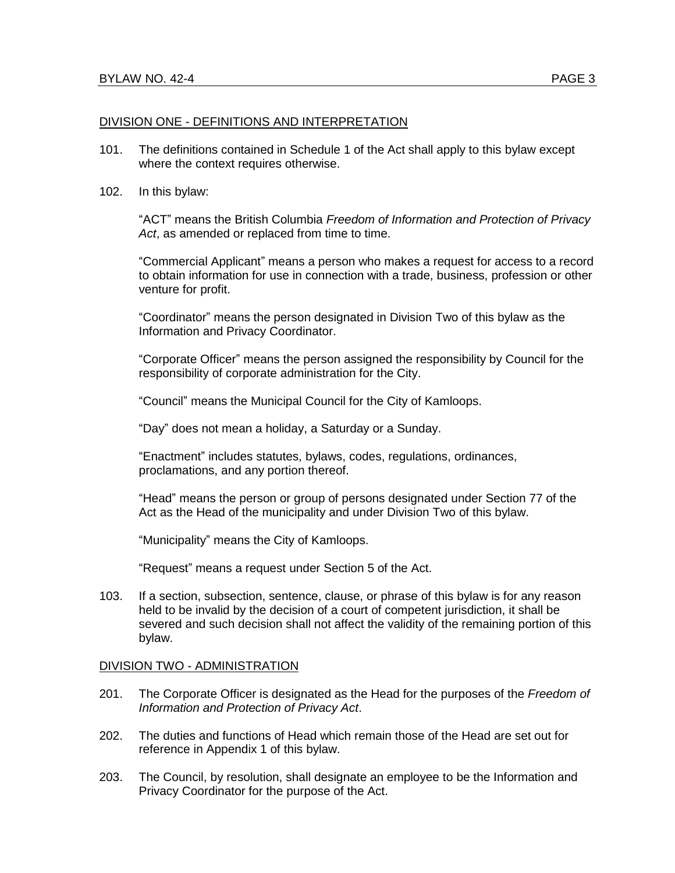#### DIVISION ONE - DEFINITIONS AND INTERPRETATION

- 101. The definitions contained in Schedule 1 of the Act shall apply to this bylaw except where the context requires otherwise.
- 102. In this bylaw:

"ACT" means the British Columbia *Freedom of Information and Protection of Privacy Act*, as amended or replaced from time to time.

"Commercial Applicant" means a person who makes a request for access to a record to obtain information for use in connection with a trade, business, profession or other venture for profit.

"Coordinator" means the person designated in Division Two of this bylaw as the Information and Privacy Coordinator.

"Corporate Officer" means the person assigned the responsibility by Council for the responsibility of corporate administration for the City.

"Council" means the Municipal Council for the City of Kamloops.

"Day" does not mean a holiday, a Saturday or a Sunday.

"Enactment" includes statutes, bylaws, codes, regulations, ordinances, proclamations, and any portion thereof.

"Head" means the person or group of persons designated under Section 77 of the Act as the Head of the municipality and under Division Two of this bylaw.

"Municipality" means the City of Kamloops.

"Request" means a request under Section 5 of the Act.

103. If a section, subsection, sentence, clause, or phrase of this bylaw is for any reason held to be invalid by the decision of a court of competent jurisdiction, it shall be severed and such decision shall not affect the validity of the remaining portion of this bylaw.

#### DIVISION TWO - ADMINISTRATION

- 201. The Corporate Officer is designated as the Head for the purposes of the *Freedom of Information and Protection of Privacy Act*.
- 202. The duties and functions of Head which remain those of the Head are set out for reference in Appendix 1 of this bylaw.
- 203. The Council, by resolution, shall designate an employee to be the Information and Privacy Coordinator for the purpose of the Act.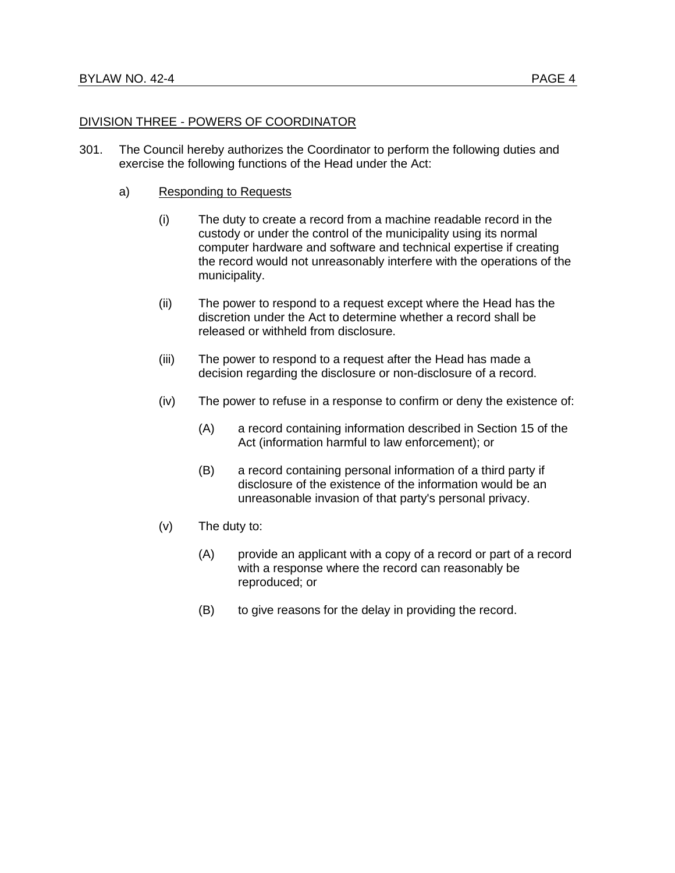## DIVISION THREE - POWERS OF COORDINATOR

- 301. The Council hereby authorizes the Coordinator to perform the following duties and exercise the following functions of the Head under the Act:
	- a) Responding to Requests
		- (i) The duty to create a record from a machine readable record in the custody or under the control of the municipality using its normal computer hardware and software and technical expertise if creating the record would not unreasonably interfere with the operations of the municipality.
		- (ii) The power to respond to a request except where the Head has the discretion under the Act to determine whether a record shall be released or withheld from disclosure.
		- (iii) The power to respond to a request after the Head has made a decision regarding the disclosure or non-disclosure of a record.
		- (iv) The power to refuse in a response to confirm or deny the existence of:
			- (A) a record containing information described in Section 15 of the Act (information harmful to law enforcement); or
			- (B) a record containing personal information of a third party if disclosure of the existence of the information would be an unreasonable invasion of that party's personal privacy.
		- (v) The duty to:
			- (A) provide an applicant with a copy of a record or part of a record with a response where the record can reasonably be reproduced; or
			- (B) to give reasons for the delay in providing the record.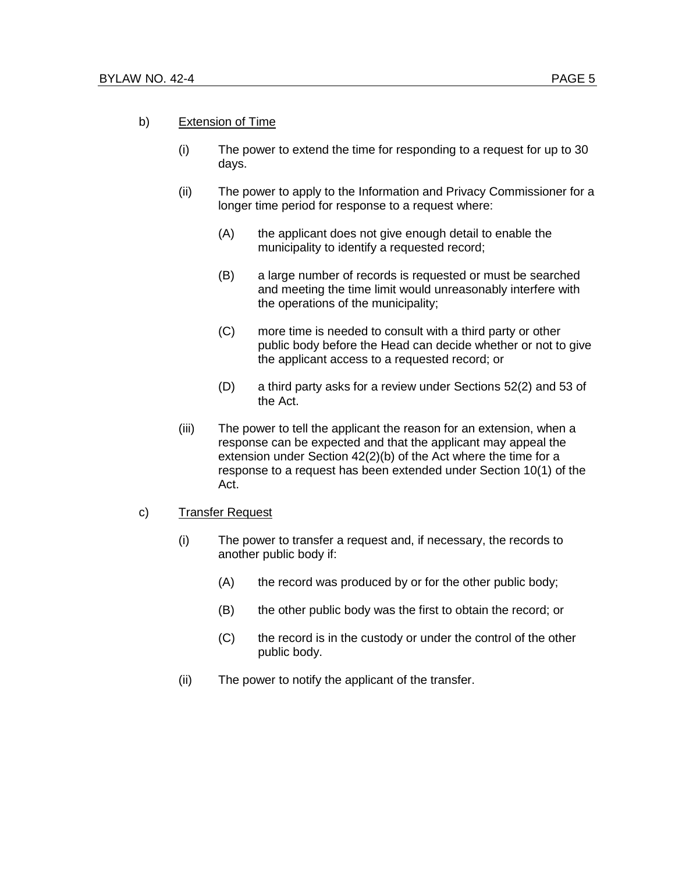#### b) Extension of Time

- (i) The power to extend the time for responding to a request for up to 30 days.
- (ii) The power to apply to the Information and Privacy Commissioner for a longer time period for response to a request where:
	- (A) the applicant does not give enough detail to enable the municipality to identify a requested record;
	- (B) a large number of records is requested or must be searched and meeting the time limit would unreasonably interfere with the operations of the municipality;
	- (C) more time is needed to consult with a third party or other public body before the Head can decide whether or not to give the applicant access to a requested record; or
	- (D) a third party asks for a review under Sections 52(2) and 53 of the Act.
- (iii) The power to tell the applicant the reason for an extension, when a response can be expected and that the applicant may appeal the extension under Section 42(2)(b) of the Act where the time for a response to a request has been extended under Section 10(1) of the Act.

#### c) Transfer Request

- (i) The power to transfer a request and, if necessary, the records to another public body if:
	- (A) the record was produced by or for the other public body;
	- (B) the other public body was the first to obtain the record; or
	- (C) the record is in the custody or under the control of the other public body.
- (ii) The power to notify the applicant of the transfer.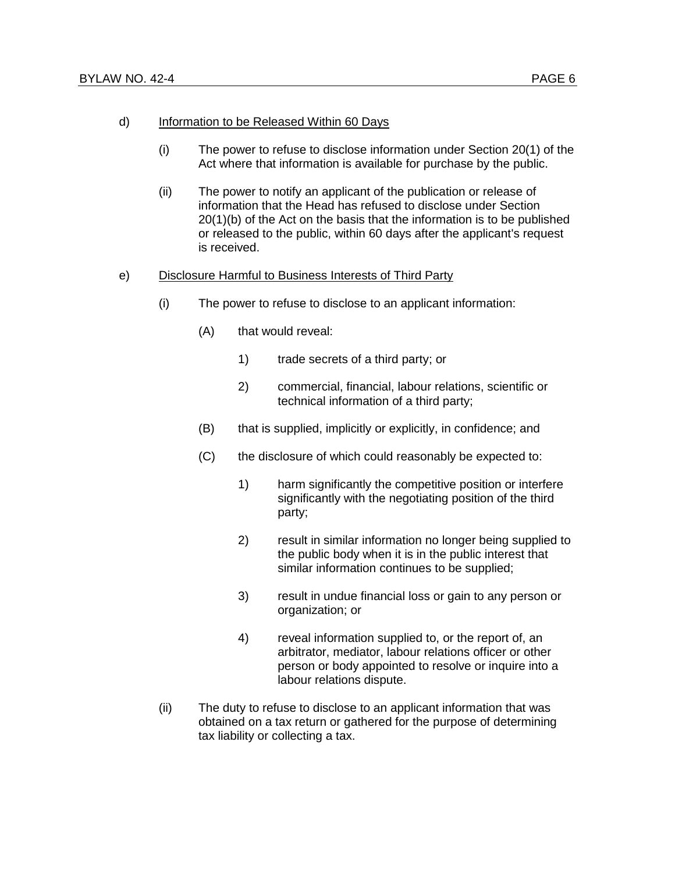#### d) Information to be Released Within 60 Days

- (i) The power to refuse to disclose information under Section 20(1) of the Act where that information is available for purchase by the public.
- (ii) The power to notify an applicant of the publication or release of information that the Head has refused to disclose under Section 20(1)(b) of the Act on the basis that the information is to be published or released to the public, within 60 days after the applicant's request is received.

#### e) Disclosure Harmful to Business Interests of Third Party

- (i) The power to refuse to disclose to an applicant information:
	- (A) that would reveal:
		- 1) trade secrets of a third party; or
		- 2) commercial, financial, labour relations, scientific or technical information of a third party;
	- (B) that is supplied, implicitly or explicitly, in confidence; and
	- (C) the disclosure of which could reasonably be expected to:
		- 1) harm significantly the competitive position or interfere significantly with the negotiating position of the third party;
		- 2) result in similar information no longer being supplied to the public body when it is in the public interest that similar information continues to be supplied;
		- 3) result in undue financial loss or gain to any person or organization; or
		- 4) reveal information supplied to, or the report of, an arbitrator, mediator, labour relations officer or other person or body appointed to resolve or inquire into a labour relations dispute.
- (ii) The duty to refuse to disclose to an applicant information that was obtained on a tax return or gathered for the purpose of determining tax liability or collecting a tax.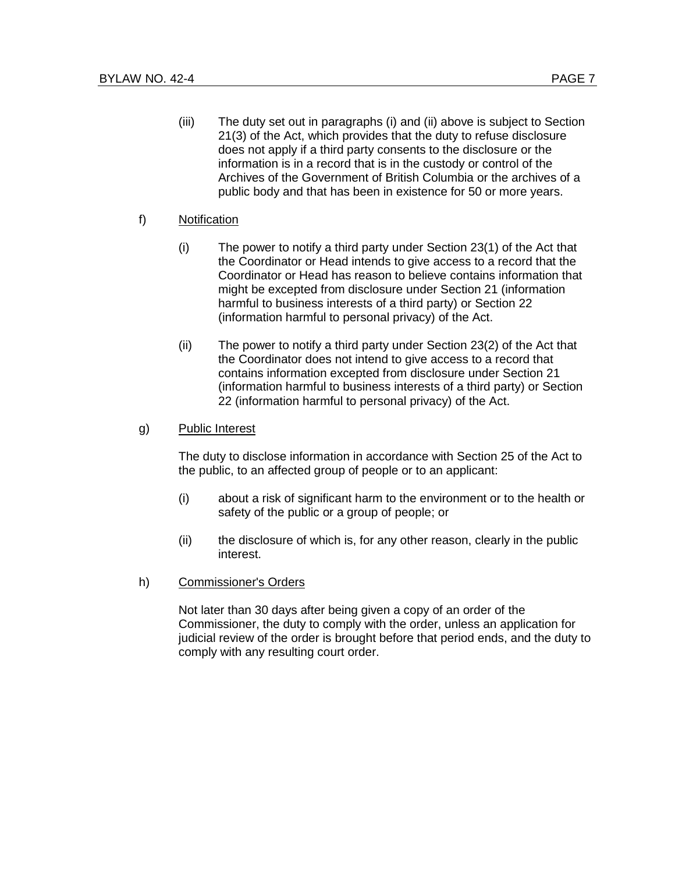(iii) The duty set out in paragraphs (i) and (ii) above is subject to Section 21(3) of the Act, which provides that the duty to refuse disclosure does not apply if a third party consents to the disclosure or the information is in a record that is in the custody or control of the Archives of the Government of British Columbia or the archives of a public body and that has been in existence for 50 or more years.

## f) Notification

- (i) The power to notify a third party under Section 23(1) of the Act that the Coordinator or Head intends to give access to a record that the Coordinator or Head has reason to believe contains information that might be excepted from disclosure under Section 21 (information harmful to business interests of a third party) or Section 22 (information harmful to personal privacy) of the Act.
- (ii) The power to notify a third party under Section 23(2) of the Act that the Coordinator does not intend to give access to a record that contains information excepted from disclosure under Section 21 (information harmful to business interests of a third party) or Section 22 (information harmful to personal privacy) of the Act.

## g) Public Interest

The duty to disclose information in accordance with Section 25 of the Act to the public, to an affected group of people or to an applicant:

- (i) about a risk of significant harm to the environment or to the health or safety of the public or a group of people; or
- (ii) the disclosure of which is, for any other reason, clearly in the public interest.
- h) Commissioner's Orders

Not later than 30 days after being given a copy of an order of the Commissioner, the duty to comply with the order, unless an application for judicial review of the order is brought before that period ends, and the duty to comply with any resulting court order.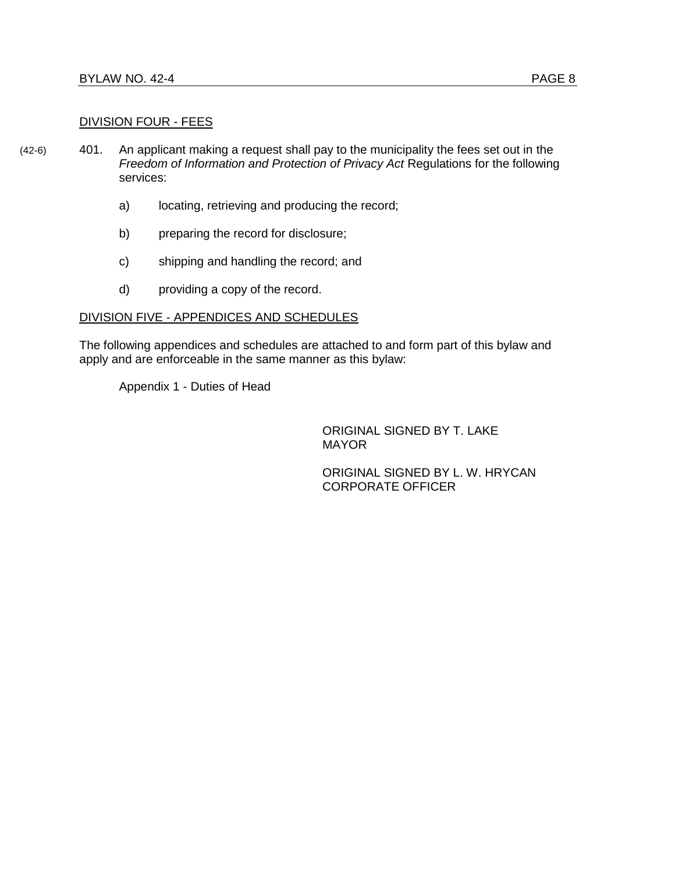#### DIVISION FOUR - FEES

- (42-6) 401. An applicant making a request shall pay to the municipality the fees set out in the *Freedom of Information and Protection of Privacy Act* Regulations for the following services:
	- a) locating, retrieving and producing the record;
	- b) preparing the record for disclosure;
	- c) shipping and handling the record; and
	- d) providing a copy of the record.

#### DIVISION FIVE - APPENDICES AND SCHEDULES

The following appendices and schedules are attached to and form part of this bylaw and apply and are enforceable in the same manner as this bylaw:

Appendix 1 - Duties of Head

ORIGINAL SIGNED BY T. LAKE MAYOR

ORIGINAL SIGNED BY L. W. HRYCAN CORPORATE OFFICER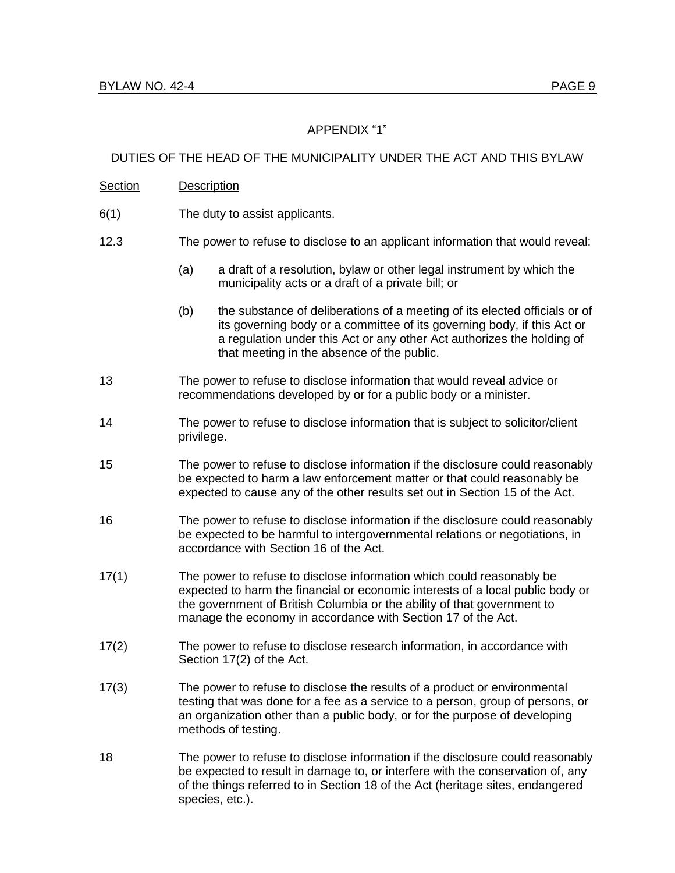# APPENDIX "1"

## DUTIES OF THE HEAD OF THE MUNICIPALITY UNDER THE ACT AND THIS BYLAW

### Section Description

- 6(1) The duty to assist applicants.
- 12.3 The power to refuse to disclose to an applicant information that would reveal:
	- (a) a draft of a resolution, bylaw or other legal instrument by which the municipality acts or a draft of a private bill; or
	- (b) the substance of deliberations of a meeting of its elected officials or of its governing body or a committee of its governing body, if this Act or a regulation under this Act or any other Act authorizes the holding of that meeting in the absence of the public.
- 13 The power to refuse to disclose information that would reveal advice or recommendations developed by or for a public body or a minister.
- 14 The power to refuse to disclose information that is subject to solicitor/client privilege.
- 15 The power to refuse to disclose information if the disclosure could reasonably be expected to harm a law enforcement matter or that could reasonably be expected to cause any of the other results set out in Section 15 of the Act.
- 16 The power to refuse to disclose information if the disclosure could reasonably be expected to be harmful to intergovernmental relations or negotiations, in accordance with Section 16 of the Act.
- 17(1) The power to refuse to disclose information which could reasonably be expected to harm the financial or economic interests of a local public body or the government of British Columbia or the ability of that government to manage the economy in accordance with Section 17 of the Act.
- 17(2) The power to refuse to disclose research information, in accordance with Section 17(2) of the Act.
- 17(3) The power to refuse to disclose the results of a product or environmental testing that was done for a fee as a service to a person, group of persons, or an organization other than a public body, or for the purpose of developing methods of testing.
- 18 The power to refuse to disclose information if the disclosure could reasonably be expected to result in damage to, or interfere with the conservation of, any of the things referred to in Section 18 of the Act (heritage sites, endangered species, etc.).